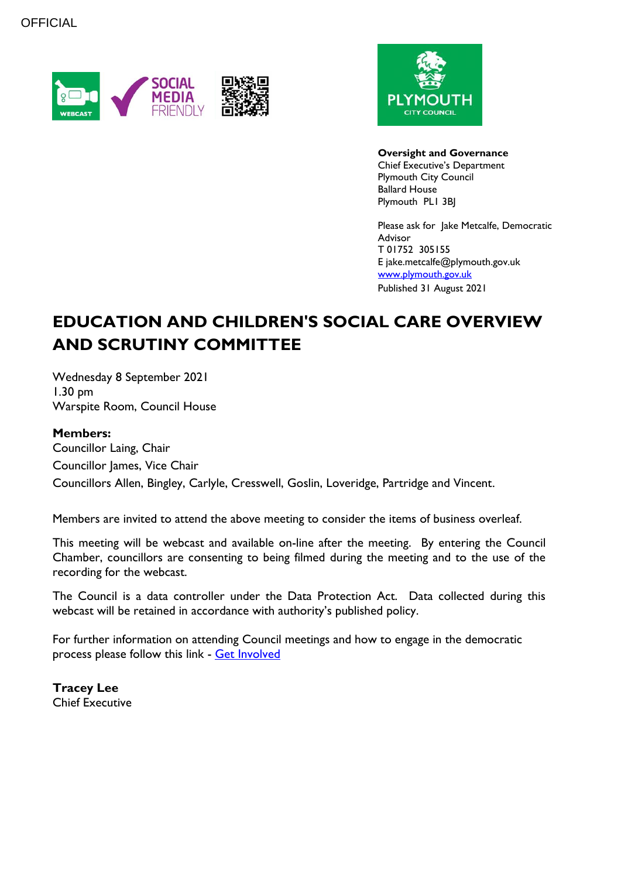



**Oversight and Governance** Chief Executive's Department Plymouth City Council Ballard House Plymouth PL1 3BJ

Please ask for Jake Metcalfe, Democratic Advisor T 01752 305155 E jake.metcalfe@plymouth.gov.uk [www.plymouth.gov.uk](https://www.plymouth.gov.uk/councillorscommitteesandmeetings) Published 31 August 2021

# **EDUCATION AND CHILDREN'S SOCIAL CARE OVERVIEW AND SCRUTINY COMMITTEE**

Wednesday 8 September 2021 1.30 pm Warspite Room, Council House

#### **Members:**

Councillor Laing, Chair Councillor James, Vice Chair Councillors Allen, Bingley, Carlyle, Cresswell, Goslin, Loveridge, Partridge and Vincent.

Members are invited to attend the above meeting to consider the items of business overleaf.

This meeting will be webcast and available on-line after the meeting. By entering the Council Chamber, councillors are consenting to being filmed during the meeting and to the use of the recording for the webcast.

The Council is a data controller under the Data Protection Act. Data collected during this webcast will be retained in accordance with authority's published policy.

For further information on attending Council meetings and how to engage in the democratic process please follow this link - [Get Involved](https://www.plymouth.gov.uk/councillorscommitteesandmeetings/getinvolved)

**Tracey Lee** Chief Executive